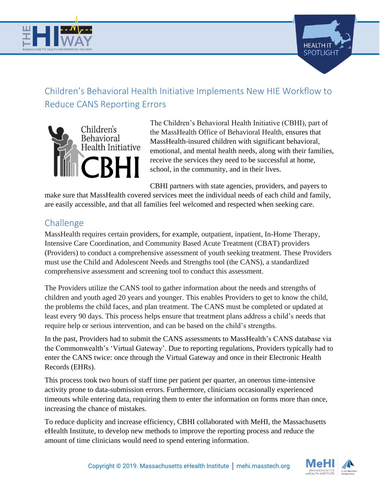



# Children's Behavioral Health Initiative Implements New HIE Workflow to Reduce CANS Reporting Errors



The Children's Behavioral Health Initiative (CBHI), part of the MassHealth Office of Behavioral Health, ensures that MassHealth-insured children with significant behavioral, emotional, and mental health needs, along with their families, receive the services they need to be successful at home, school, in the community, and in their lives.

CBHI partners with state agencies, providers, and payers to

make sure that MassHealth covered services meet the individual needs of each child and family, are easily accessible, and that all families feel welcomed and respected when seeking care.

# Challenge

MassHealth requires certain providers, for example, outpatient, inpatient, In-Home Therapy, Intensive Care Coordination, and Community Based Acute Treatment (CBAT) providers (Providers) to conduct a comprehensive assessment of youth seeking treatment. These Providers must use the Child and Adolescent Needs and Strengths tool (the CANS), a standardized comprehensive assessment and screening tool to conduct this assessment.

The Providers utilize the CANS tool to gather information about the needs and strengths of children and youth aged 20 years and younger. This enables Providers to get to know the child, the problems the child faces, and plan treatment. The CANS must be completed or updated at least every 90 days. This process helps ensure that treatment plans address a child's needs that require help or serious intervention, and can be based on the child's strengths.

In the past, Providers had to submit the CANS assessments to MassHealth's CANS database via the Commonwealth's 'Virtual Gateway'. Due to reporting regulations, Providers typically had to enter the CANS twice: once through the Virtual Gateway and once in their Electronic Health Records (EHRs).

This process took two hours of staff time per patient per quarter, an onerous time-intensive activity prone to data-submission errors. Furthermore, clinicians occasionally experienced timeouts while entering data, requiring them to enter the information on forms more than once, increasing the chance of mistakes.

To reduce duplicity and increase efficiency, CBHI collaborated with MeHI, the Massachusetts eHealth Institute, to develop new methods to improve the reporting process and reduce the amount of time clinicians would need to spend entering information.

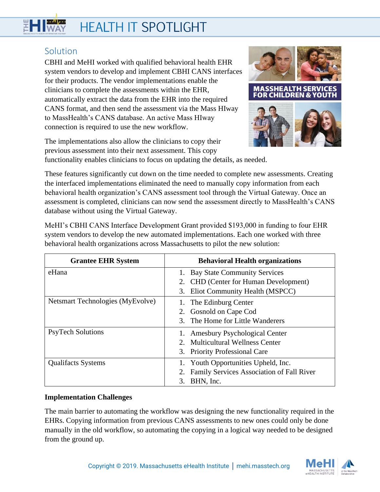# **HEALTH IT SPOTLIGHT**

# **Solution**

CBHI and MeHI worked with qualified behavioral health EHR system vendors to develop and implement CBHI CANS interfaces for their products. The vendor implementations enable the clinicians to complete the assessments within the EHR, automatically extract the data from the EHR into the required CANS format, and then send the assessment via the Mass HIway to MassHealth's CANS database. An active Mass HIway connection is required to use the new workflow.



The implementations also allow the clinicians to copy their previous assessment into their next assessment. This copy functionality enables clinicians to focus on updating the details, as needed.

These features significantly cut down on the time needed to complete new assessments. Creating the interfaced implementations eliminated the need to manually copy information from each behavioral health organization's CANS assessment tool through the Virtual Gateway. Once an assessment is completed, clinicians can now send the assessment directly to MassHealth's CANS database without using the Virtual Gateway.

MeHI's CBHI CANS Interface Development Grant provided \$193,000 in funding to four EHR system vendors to develop the new automated implementations. Each one worked with three behavioral health organizations across Massachusetts to pilot the new solution:

| <b>Grantee EHR System</b>        | <b>Behavioral Health organizations</b>       |
|----------------------------------|----------------------------------------------|
| eHana                            | 1. Bay State Community Services              |
|                                  | 2. CHD (Center for Human Development)        |
|                                  | Eliot Community Health (MSPCC)<br>3.         |
| Netsmart Technologies (MyEvolve) | 1. The Edinburg Center                       |
|                                  | 2. Gosnold on Cape Cod                       |
|                                  | 3. The Home for Little Wanderers             |
| <b>PsyTech Solutions</b>         | 1. Amesbury Psychological Center             |
|                                  | 2. Multicultural Wellness Center             |
|                                  | 3. Priority Professional Care                |
| <b>Qualifacts Systems</b>        | 1. Youth Opportunities Upheld, Inc.          |
|                                  | 2. Family Services Association of Fall River |
|                                  | BHN, Inc.<br>3.                              |

## **Implementation Challenges**

The main barrier to automating the workflow was designing the new functionality required in the EHRs. Copying information from previous CANS assessments to new ones could only be done manually in the old workflow, so automating the copying in a logical way needed to be designed from the ground up.

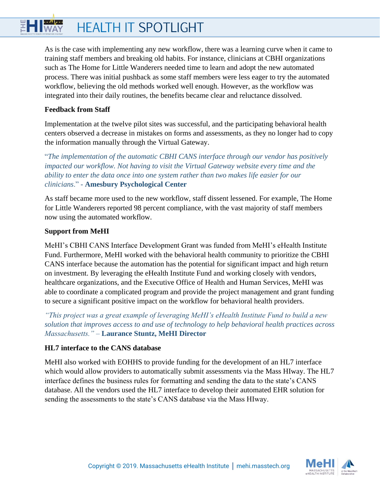## HI WAY **HEALTH IT SPOTLIGHT**

As is the case with implementing any new workflow, there was a learning curve when it came to training staff members and breaking old habits. For instance, clinicians at CBHI organizations such as The Home for Little Wanderers needed time to learn and adopt the new automated process. There was initial pushback as some staff members were less eager to try the automated workflow, believing the old methods worked well enough. However, as the workflow was integrated into their daily routines, the benefits became clear and reluctance dissolved.

#### **Feedback from Staff**

Implementation at the twelve pilot sites was successful, and the participating behavioral health centers observed a decrease in mistakes on forms and assessments, as they no longer had to copy the information manually through the Virtual Gateway.

"*The implementation of the automatic CBHI CANS interface through our vendor has positively impacted our workflow. Not having to visit the Virtual Gateway website every time and the ability to enter the data once into one system rather than two makes life easier for our clinicians*." - **Amesbury Psychological Center**

As staff became more used to the new workflow, staff dissent lessened. For example, The Home for Little Wanderers reported 98 percent compliance, with the vast majority of staff members now using the automated workflow.

#### **Support from MeHI**

MeHI's CBHI CANS Interface Development Grant was funded from MeHI's eHealth Institute Fund. Furthermore, MeHI worked with the behavioral health community to prioritize the CBHI CANS interface because the automation has the potential for significant impact and high return on investment. By leveraging the eHealth Institute Fund and working closely with vendors, healthcare organizations, and the Executive Office of Health and Human Services, MeHI was able to coordinate a complicated program and provide the project management and grant funding to secure a significant positive impact on the workflow for behavioral health providers.

*"This project was a great example of leveraging MeHI's eHealth Institute Fund to build a new solution that improves access to and use of technology to help behavioral health practices across Massachusetts."* – **Laurance Stuntz, MeHI Director**

#### **HL7 interface to the CANS database**

MeHI also worked with EOHHS to provide funding for the development of an HL7 interface which would allow providers to automatically submit assessments via the Mass HIway. The HL7 interface defines the business rules for formatting and sending the data to the state's CANS database. All the vendors used the HL7 interface to develop their automated EHR solution for sending the assessments to the state's CANS database via the Mass HIway.

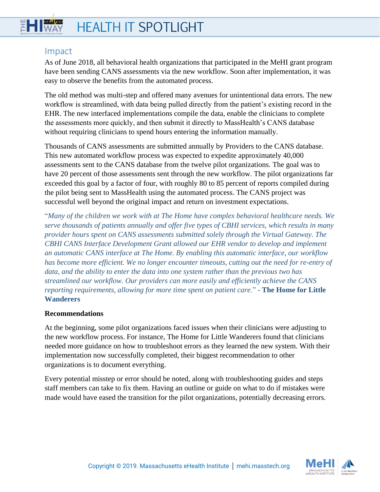## 뛝 **HEALTH IT SPOTLIGHT**

# Impact

As of June 2018, all behavioral health organizations that participated in the MeHI grant program have been sending CANS assessments via the new workflow. Soon after implementation, it was easy to observe the benefits from the automated process.

The old method was multi-step and offered many avenues for unintentional data errors. The new workflow is streamlined, with data being pulled directly from the patient's existing record in the EHR. The new interfaced implementations compile the data, enable the clinicians to complete the assessments more quickly, and then submit it directly to MassHealth's CANS database without requiring clinicians to spend hours entering the information manually.

Thousands of CANS assessments are submitted annually by Providers to the CANS database. This new automated workflow process was expected to expedite approximately 40,000 assessments sent to the CANS database from the twelve pilot organizations. The goal was to have 20 percent of those assessments sent through the new workflow. The pilot organizations far exceeded this goal by a factor of four, with roughly 80 to 85 percent of reports compiled during the pilot being sent to MassHealth using the automated process. The CANS project was successful well beyond the original impact and return on investment expectations.

"*Many of the children we work with at The Home have complex behavioral healthcare needs. We serve thousands of patients annually and offer five types of CBHI services, which results in many provider hours spent on CANS assessments submitted solely through the Virtual Gateway. The CBHI CANS Interface Development Grant allowed our EHR vendor to develop and implement an automatic CANS interface at The Home. By enabling this automatic interface, our workflow*  has become more efficient. We no longer encounter timeouts, cutting out the need for re-entry of *data, and the ability to enter the data into one system rather than the previous two has streamlined our workflow. Our providers can more easily and efficiently achieve the CANS reporting requirements, allowing for more time spent on patient care*." - **The Home for Little Wanderers**

#### **Recommendations**

At the beginning, some pilot organizations faced issues when their clinicians were adjusting to the new workflow process. For instance, The Home for Little Wanderers found that clinicians needed more guidance on how to troubleshoot errors as they learned the new system. With their implementation now successfully completed, their biggest recommendation to other organizations is to document everything.

Every potential misstep or error should be noted, along with troubleshooting guides and steps staff members can take to fix them. Having an outline or guide on what to do if mistakes were made would have eased the transition for the pilot organizations, potentially decreasing errors.